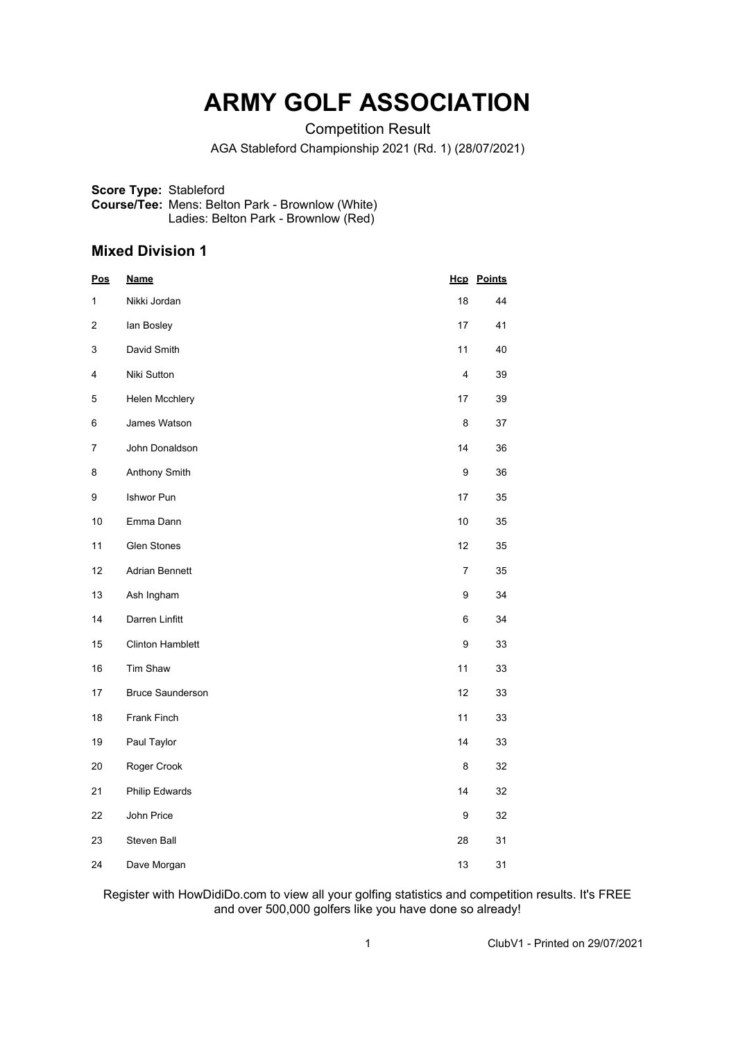# **ARMY GOLF ASSOCIATION**

Competition Result

AGA Stableford Championship 2021 (Rd. 1) (28/07/2021)

**Score Type:** Stableford **Course/Tee:** Mens: Belton Park - Brownlow (White) Ladies: Belton Park - Brownlow (Red)

### **Mixed Division 1**

| <u>Pos</u> | <b>Name</b>             |    | <b>Hcp</b> Points |
|------------|-------------------------|----|-------------------|
| 1          | Nikki Jordan            | 18 | 44                |
| 2          | lan Bosley              | 17 | 41                |
| 3          | David Smith             | 11 | 40                |
| 4          | Niki Sutton             | 4  | 39                |
| 5          | Helen Mcchlery          | 17 | 39                |
| 6          | James Watson            | 8  | 37                |
| 7          | John Donaldson          | 14 | 36                |
| 8          | Anthony Smith           | 9  | 36                |
| 9          | Ishwor Pun              | 17 | 35                |
| 10         | Emma Dann               | 10 | 35                |
| 11         | <b>Glen Stones</b>      | 12 | 35                |
| 12         | Adrian Bennett          | 7  | 35                |
| 13         | Ash Ingham              | 9  | 34                |
| 14         | Darren Linfitt          | 6  | 34                |
| 15         | <b>Clinton Hamblett</b> | 9  | 33                |
| 16         | Tim Shaw                | 11 | 33                |
| 17         | <b>Bruce Saunderson</b> | 12 | 33                |
| 18         | Frank Finch             | 11 | 33                |
| 19         | Paul Taylor             | 14 | 33                |
| 20         | Roger Crook             | 8  | 32                |
| 21         | Philip Edwards          | 14 | 32                |
| 22         | John Price              | 9  | 32                |
| 23         | Steven Ball             | 28 | 31                |
| 24         | Dave Morgan             | 13 | 31                |

Register with HowDidiDo.com to view all your golfing statistics and competition results. It's FREE and over 500,000 golfers like you have done so already!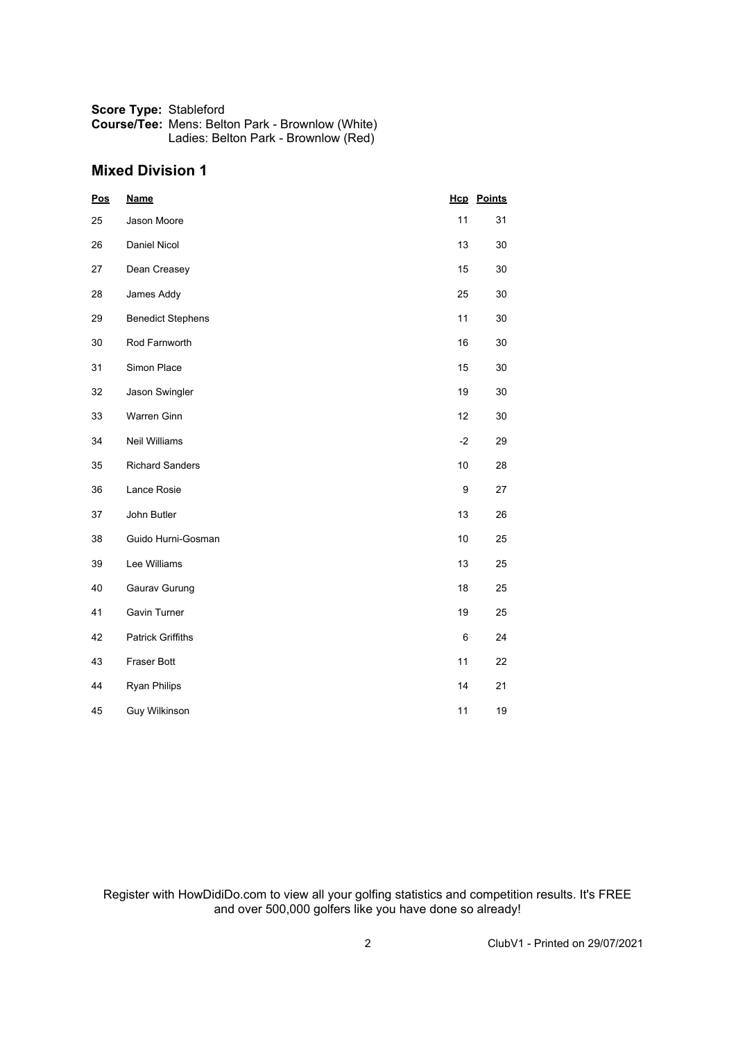#### **Score Type:** Stableford **Course/Tee:** Mens: Belton Park - Brownlow (White) Ladies: Belton Park - Brownlow (Red)

## **Mixed Division 1**

| <b>Pos</b> | <b>Name</b>              |      | <b>Hcp</b> Points |
|------------|--------------------------|------|-------------------|
| 25         | Jason Moore              | 11   | 31                |
| 26         | Daniel Nicol             | 13   | 30                |
| 27         | Dean Creasey             | 15   | 30                |
| 28         | James Addy               | 25   | 30                |
| 29         | <b>Benedict Stephens</b> | 11   | 30                |
| 30         | Rod Farnworth            | 16   | 30                |
| 31         | Simon Place              | 15   | 30                |
| 32         | Jason Swingler           | 19   | 30                |
| 33         | Warren Ginn              | 12   | 30                |
| 34         | Neil Williams            | $-2$ | 29                |
| 35         | <b>Richard Sanders</b>   | 10   | 28                |
| 36         | Lance Rosie              | 9    | 27                |
| 37         | John Butler              | 13   | 26                |
| 38         | Guido Hurni-Gosman       | 10   | 25                |
| 39         | Lee Williams             | 13   | 25                |
| 40         | Gaurav Gurung            | 18   | 25                |
| 41         | Gavin Turner             | 19   | 25                |
| 42         | <b>Patrick Griffiths</b> | 6    | 24                |
| 43         | Fraser Bott              | 11   | 22                |
| 44         | <b>Ryan Philips</b>      | 14   | 21                |
| 45         | Guy Wilkinson            | 11   | 19                |

Register with HowDidiDo.com to view all your golfing statistics and competition results. It's FREE and over 500,000 golfers like you have done so already!